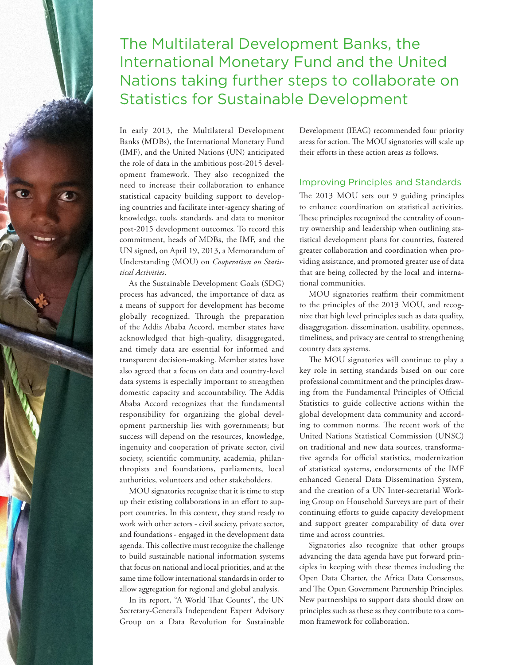

# The Multilateral Development Banks, the International Monetary Fund and the United Nations taking further steps to collaborate on Statistics for Sustainable Development

In early 2013, the Multilateral Development Banks (MDBs), the International Monetary Fund (IMF), and the United Nations (UN) anticipated the role of data in the ambitious post-2015 development framework. They also recognized the need to increase their collaboration to enhance statistical capacity building support to developing countries and facilitate inter-agency sharing of knowledge, tools, standards, and data to monitor post-2015 development outcomes. To record this commitment, heads of MDBs, the IMF, and the UN signed, on April 19, 2013, a Memorandum of Understanding (MOU) on *Cooperation on Statistical Activities*.

As the Sustainable Development Goals (SDG) process has advanced, the importance of data as a means of support for development has become globally recognized. Through the preparation of the Addis Ababa Accord, member states have acknowledged that high-quality, disaggregated, and timely data are essential for informed and transparent decision-making. Member states have also agreed that a focus on data and country-level data systems is especially important to strengthen domestic capacity and accountability. The Addis Ababa Accord recognizes that the fundamental responsibility for organizing the global development partnership lies with governments; but success will depend on the resources, knowledge, ingenuity and cooperation of private sector, civil society, scientific community, academia, philanthropists and foundations, parliaments, local authorities, volunteers and other stakeholders.

MOU signatories recognize that it is time to step up their existing collaborations in an effort to support countries. In this context, they stand ready to work with other actors - civil society, private sector, and foundations - engaged in the development data agenda. This collective must recognize the challenge to build sustainable national information systems that focus on national and local priorities, and at the same time follow international standards in order to allow aggregation for regional and global analysis.

In its report, "A World That Counts", the UN Secretary-General's Independent Expert Advisory Group on a Data Revolution for Sustainable Development (IEAG) recommended four priority areas for action. The MOU signatories will scale up their efforts in these action areas as follows.

## Improving Principles and Standards

The 2013 MOU sets out 9 guiding principles to enhance coordination on statistical activities. These principles recognized the centrality of country ownership and leadership when outlining statistical development plans for countries, fostered greater collaboration and coordination when providing assistance, and promoted greater use of data that are being collected by the local and international communities.

MOU signatories reaffirm their commitment to the principles of the 2013 MOU, and recognize that high level principles such as data quality, disaggregation, dissemination, usability, openness, timeliness, and privacy are central to strengthening country data systems.

The MOU signatories will continue to play a key role in setting standards based on our core professional commitment and the principles drawing from the Fundamental Principles of Official Statistics to guide collective actions within the global development data community and according to common norms. The recent work of the United Nations Statistical Commission (UNSC) on traditional and new data sources, transformative agenda for official statistics, modernization of statistical systems, endorsements of the IMF enhanced General Data Dissemination System, and the creation of a UN Inter-secretarial Working Group on Household Surveys are part of their continuing efforts to guide capacity development and support greater comparability of data over time and across countries.

Signatories also recognize that other groups advancing the data agenda have put forward principles in keeping with these themes including the Open Data Charter, the Africa Data Consensus, and The Open Government Partnership Principles. New partnerships to support data should draw on principles such as these as they contribute to a common framework for collaboration.